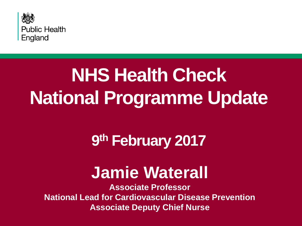

## **NHS Health Check National Programme Update**

### **9 th February 2017**

### **Jamie Waterall**

**Associate Professor National Lead for Cardiovascular Disease Prevention Associate Deputy Chief Nurse**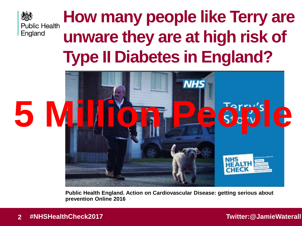

### **How many people like Terry are unware they are at high risk of Type II Diabetes in England?**



**Public Health England. Action on Cardiovascular Disease: getting serious about prevention Online 2016**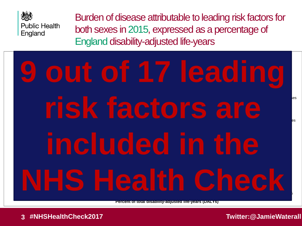

Burden of disease attributable to leading risk factors for both sexes in 2015, expressed as a percentage of England disability-adjusted life-years

### 0% 1% 2% 3% 4% 5% 6% 7% 8% 9% 10% 11% 12% **Other environmental risks Occupational risks High fasting plasma glucose High total cholesterol** Diarrhea, lower respiratory, and other common infectious diseases **High systolic blood pressure Tobacco smoke 9 out of 17 leading**  Maternal disorders Neonatal disorders Nutritional deficiencies Other communicable, maternal, neonatal, and nutritional diseases Cirrhosis and other chronic liver diseases Mental and substance use disorders included in the Forces of nature, war, and legal intervention **risk factors are NHS Health Check**

**Percent of total disability-adjusted life-years (DALYs)**

**3 #NHSHealthCheck2017 Twitter:@JamieWaterall**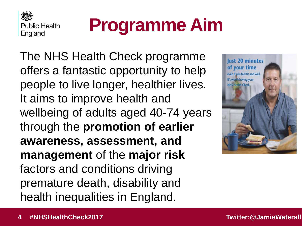

## **Programme Aim**

The NHS Health Check programme offers a fantastic opportunity to help people to live longer, healthier lives. It aims to improve health and wellbeing of adults aged 40-74 years through the **promotion of earlier awareness, assessment, and management** of the **major risk**  factors and conditions driving premature death, disability and health inequalities in England.

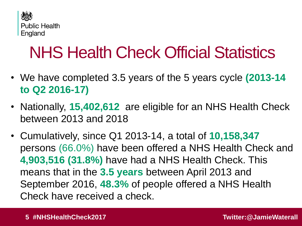

### NHS Health Check Official Statistics

- We have completed 3.5 years of the 5 years cycle **(2013-14 to Q2 2016-17)**
- Nationally, **15,402,612** are eligible for an NHS Health Check between 2013 and 2018
- Cumulatively, since Q1 2013-14, a total of **10,158,347** persons (66.0%) have been offered a NHS Health Check and **4,903,516 (31.8%)** have had a NHS Health Check. This means that in the **3.5 years** between April 2013 and September 2016, **48.3%** of people offered a NHS Health Check have received a check.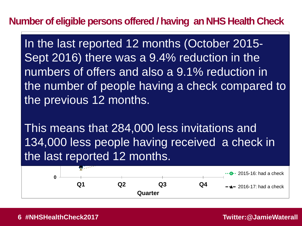### **Number of eligible persons offered / having an NHS Health Check**

the previous 12 months. **2,500,000** numbers of offers and also a 9.1% reduction in **3,500,000** th<br>th<br>Tl In the last reported 12 months (October 2015-Sept 2016) there was a 9.4% reduction in the the number of people having a check compared to 2015-16: offers

the last reported 12 months. 2 A OO This means that 284,000 less invitations and 134,000 less people having received a check in

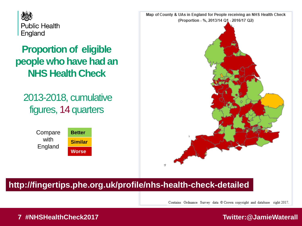

### **Proportion of eligible people who have had an NHS Health Check**

2013-2018, cumulative figures, 14 quarters

> Compare with England

**Better Similar Worse**



### **http://fingertips.phe.org.uk/profile/nhs-health-check-detailed**

Contains Ordnance Survey data @ Crown copyright and database right 2017.

### **7 #NHSHealthCheck2017 Twitter:@JamieWaterall**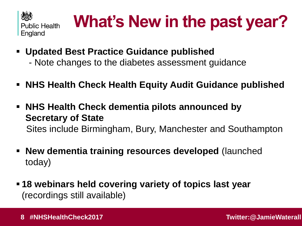

## **What's New in the past year?**

- **Updated Best Practice Guidance published**
	- Note changes to the diabetes assessment guidance
- **NHS Health Check Health Equity Audit Guidance published**
- **NHS Health Check dementia pilots announced by Secretary of State**  Sites include Birmingham, Bury, Manchester and Southampton
- **New dementia training resources developed** (launched today)
- **18 webinars held covering variety of topics last year**  (recordings still available)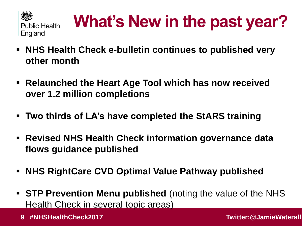

## **What's New in the past year?**

- **NHS Health Check e-bulletin continues to published very other month**
- **Relaunched the Heart Age Tool which has now received over 1.2 million completions**
- **Two thirds of LA's have completed the StARS training**
- **Revised NHS Health Check information governance data flows guidance published**
- **NHS RightCare CVD Optimal Value Pathway published**
- **STP Prevention Menu published** (noting the value of the NHS Health Check in several topic areas)
	- **9 #NHSHealthCheck2017 Twitter:@JamieWaterall**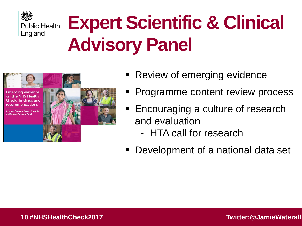

## **Expert Scientific & Clinical Advisory Panel**



- **Review of emerging evidence**
- Programme content review process
- **Encouraging a culture of research** and evaluation
	- HTA call for research
- Development of a national data set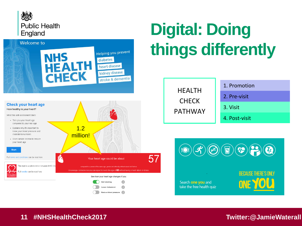



 $\bigcap$ 

Reduce blood pressure

## **Digital: Doing things differently**

| <b>HFALTH</b><br><b>CHECK</b><br><b>PATHWAY</b> | 1. Promotion  |
|-------------------------------------------------|---------------|
|                                                 | 2. Pre-visit  |
|                                                 | 3. Visit      |
|                                                 | 4. Post-visit |



### **11 #NHSHealthCheck2017 Twitter:@JamieWaterall**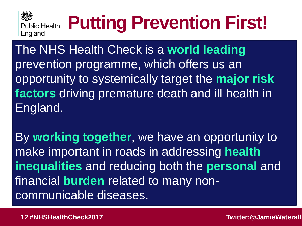

## **Putting Prevention First!**

The NHS Health Check is a **world leading**  prevention programme, which offers us an opportunity to systemically target the **major risk factors** driving premature death and ill health in England.

By **working together**, we have an opportunity to make important in roads in addressing **health inequalities** and reducing both the **personal** and financial **burden** related to many noncommunicable diseases.